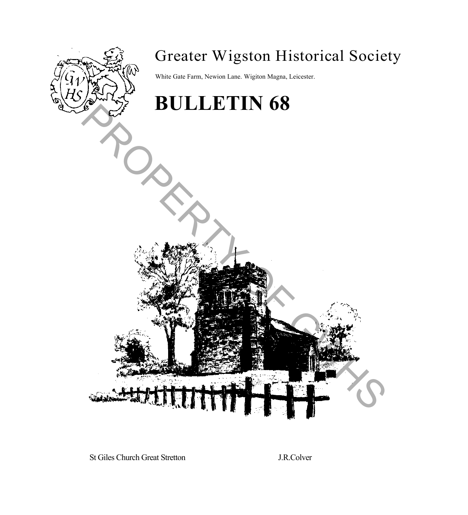

# Greater Wigston Historical Society

White Gate Farm, Newion Lane. Wigiton Magna, Leicester.

# **BULLETIN 68** PROPERTY OF GWHS

St Giles Church Great Stretton J.R.Colver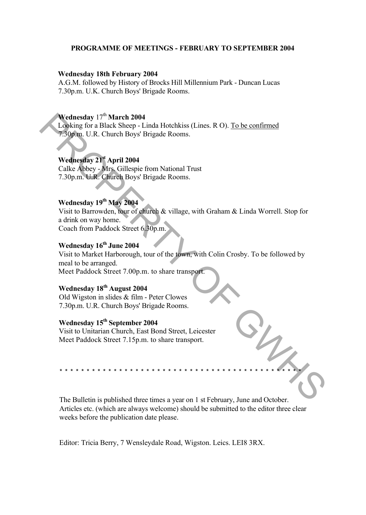#### **PROGRAMME OF MEETINGS - FEBRUARY TO SEPTEMBER 2004**

#### **Wednesday 18th February 2004**

A.G.M. followed by History of Brocks Hill Millennium Park - Duncan Lucas 7.30p.m. U.K. Church Boys' Brigade Rooms.

## **Wednesday** 17<sup>th</sup> **March 2004**

Looking for a Black Sheep - Linda Hotchkiss (Lines. R O). To be confirmed 7.30p.m. U.R. Church Boys' Brigade Rooms.

## **Wednesday 21st April 2004**

Calke Abbey - Mrs. Gillespie from National Trust 7.30p.m. U.R. Church Boys' Brigade Rooms.

#### **Wednesday 19th May 2004**

Visit to Barrowden, tour of church & village, with Graham & Linda Worrell. Stop for a drink on way home. Coach from Paddock Street 6.30p.m.

#### **Wednesday 16th June 2004**

Visit to Market Harborough, tour of the town, with Colin Crosby. To be followed by meal to be arranged. Meet Paddock Street 7.00p.m. to share transport. **Nednesday 1<sup>79</sup> March 2004**<br> **Now the Share 2014**<br> **Now The Share Share 12044**<br> **PROPERTY OF GWARE TOWER THEROPE THE SERVICE CONSULS CONSULS CONSULS CONSULS CONSULS CONSULS CONSULS CONSULS USE TO A USE OF SHARE With Grad** 

# **Wednesday 18th August 2004**

Old Wigston in slides & film - Peter Clowes 7.30p.m. U.R. Church Boys' Brigade Rooms.

# **Wednesday 15th September 2004**

Visit to Unitarian Church, East Bond Street, Leicester Meet Paddock Street 7.15p.m. to share transport.

The Bulletin is published three times a year on 1 st February, June and October. Articles etc. (which are always welcome) should be submitted to the editor three clear weeks before the publication date please.

\* \* \* \* \* \* \* \* \* \* \* \* \* \* \* \* \* \* \* \* \* \* \* \* \* \* \* \* \* \* \* \* \* \* \* \* \* \* \* \* \* \* \* \* \*

Editor: Tricia Berry, 7 Wensleydale Road, Wigston. Leics. LEI8 3RX.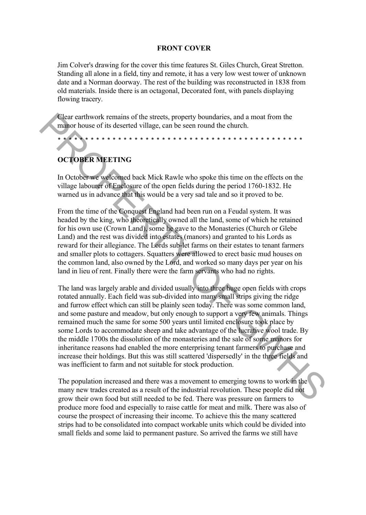#### **FRONT COVER**

Jim Colver's drawing for the cover this time features St. Giles Church, Great Stretton. Standing all alone in a field, tiny and remote, it has a very low west tower of unknown date and a Norman doorway. The rest of the building was reconstructed in 1838 from old materials. Inside there is an octagonal, Decorated font, with panels displaying flowing tracery.

Clear earthwork remains of the streets, property boundaries, and a moat from the manor house of its deserted village, can be seen round the church.

# **OCTOBER MEETING**

In October we welcomed back Mick Rawle who spoke this time on the effects on the village labourer of Enclosure of the open fields during the period 1760-1832. He warned us in advance that this would be a very sad tale and so it proved to be.

\* \* \* \* \* \* \* \* \* \* \* \* \* \* \* \* \* \* \* \* \* \* \* \* \* \* \* \* \* \* \* \* \* \* \* \* \* \* \* \* \* \* \* \* \*

From the time of the Conquest England had been run on a Feudal system. It was headed by the king, who theoretically owned all the land, some of which he retained for his own use (Crown Land), some he gave to the Monasteries (Church or Glebe Land) and the rest was divided into estates (manors) and granted to his Lords as reward for their allegiance. The Lords sub-let farms on their estates to tenant farmers and smaller plots to cottagers. Squatters were allowed to erect basic mud houses on the common land, also owned by the Lord, and worked so many days per year on his land in lieu of rent. Finally there were the farm servants who had no rights.

The land was largely arable and divided usually into three huge open fields with crops rotated annually. Each field was sub-divided into many small strips giving the ridge and furrow effect which can still be plainly seen today. There was some common land, and some pasture and meadow, but only enough to support a very few animals. Things remained much the same for some 500 years until limited enclosure took place by some Lords to accommodate sheep and take advantage of the lucrative wool trade. By the middle 1700s the dissolution of the monasteries and the sale of some manors for inheritance reasons had enabled the more enterprising tenant farmers to purchase and increase their holdings. But this was still scattered 'dispersedly' in the three fields and was inefficient to farm and not suitable for stock production. Clear carthwook remains of the streets, property boundaries, and a most from the mean-<br>
manor bouse of its deserted vilage, can be seen round the church.<br>
In October we we council back Mick Rawle who spoke this time on th

The population increased and there was a movement to emerging towns to work in the many new trades created as a result of the industrial revolution. These people did not grow their own food but still needed to be fed. There was pressure on farmers to produce more food and especially to raise cattle for meat and milk. There was also of course the prospect of increasing their income. To achieve this the many scattered strips had to be consolidated into compact workable units which could be divided into small fields and some laid to permanent pasture. So arrived the farms we still have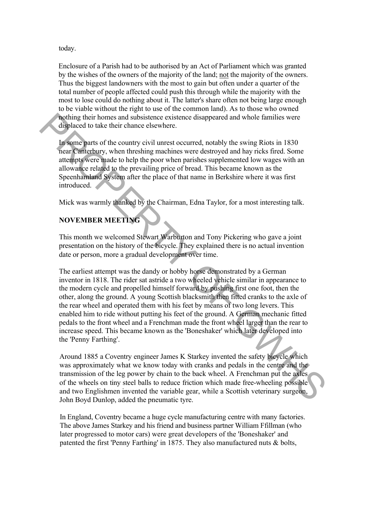#### today.

Enclosure of a Parish had to be authorised by an Act of Parliament which was granted by the wishes of the owners of the majority of the land; not the majority of the owners. Thus the biggest landowners with the most to gain but often under a quarter of the total number of people affected could push this through while the majority with the most to lose could do nothing about it. The latter's share often not being large enough to be viable without the right to use of the common land). As to those who owned nothing their homes and subsistence existence disappeared and whole families were displaced to take their chance elsewhere.

In some parts of the country civil unrest occurred, notably the swing Riots in 1830 near Canterbury, when threshing machines were destroyed and hay ricks fired. Some attempts were made to help the poor when parishes supplemented low wages with an allowance related to the prevailing price of bread. This became known as the Speenhamland System after the place of that name in Berkshire where it was first introduced.

Mick was warmly thanked by the Chairman, Edna Taylor, for a most interesting talk.

# **NOVEMBER MEETING**

This month we welcomed Stewart Warburton and Tony Pickering who gave a joint presentation on the history of the bicycle. They explained there is no actual invention date or person, more a gradual development over time.

The earliest attempt was the dandy or hobby horse demonstrated by a German inventor in 1818. The rider sat astride a two wheeled vehicle similar in appearance to the modern cycle and propelled himself forward by pushing first one foot, then the other, along the ground. A young Scottish blacksmith then fitted cranks to the axle of the rear wheel and operated them with his feet by means of two long levers. This enabled him to ride without putting his feet of the ground. A German mechanic fitted pedals to the front wheel and a Frenchman made the front wheel larger than the rear to increase speed. This became known as the 'Boneshaker' which later developed into the 'Penny Farthing'. Folging their homes and subsistence existence disappeared and whole families were<br>displaced to take their chance elsewhere.<br>In some parts of the country civil unrest occurred, notably the swing Riots in 1830<br>Incar Cameleth

Around 1885 a Coventry engineer James K Starkey invented the safety bicycle which was approximately what we know today with cranks and pedals in the centre and the transmission of the leg power by chain to the back wheel. A Frenchman put the axles of the wheels on tiny steel balls to reduce friction which made free-wheeling possible and two Englishmen invented the variable gear, while a Scottish veterinary surgeon, John Boyd Dunlop, added the pneumatic tyre.

In England, Coventry became a huge cycle manufacturing centre with many factories. The above James Starkey and his friend and business partner William Ffillman (who later progressed to motor cars) were great developers of the 'Boneshaker' and patented the first 'Penny Farthing' in 1875. They also manufactured nuts & bolts,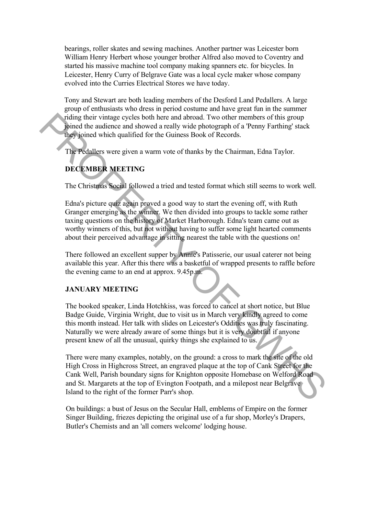bearings, roller skates and sewing machines. Another partner was Leicester born William Henry Herbert whose younger brother Alfred also moved to Coventry and started his massive machine tool company making spanners etc. for bicycles. In Leicester, Henry Curry of Belgrave Gate was a local cycle maker whose company evolved into the Curries Electrical Stores we have today.

Tony and Stewart are both leading members of the Desford Land Pedallers. A large group of enthusiasts who dress in period costume and have great fun in the summer riding their vintage cycles both here and abroad. Two other members of this group joined the audience and showed a really wide photograph of a 'Penny Farthing' stack they joined which qualified for the Guiness Book of Records.

The Pedallers were given a warm vote of thanks by the Chairman, Edna Taylor.

# **DECEMBER MEETING**

The Christmas Social followed a tried and tested format which still seems to work well.

Edna's picture quiz again proved a good way to start the evening off, with Ruth Granger emerging as the winner. We then divided into groups to tackle some rather taxing questions on the history of Market Harborough. Edna's team came out as worthy winners of this, but not without having to suffer some light hearted comments about their perceived advantage in sitting nearest the table with the questions on!

There followed an excellent supper by Annie's Patisserie, our usual caterer not being available this year. After this there was a basketful of wrapped presents to raffle before the evening came to an end at approx. 9.45p.m.

#### **JANUARY MEETING**

The booked speaker, Linda Hotchkiss, was forced to cancel at short notice, but Blue Badge Guide, Virginia Wright, due to visit us in March very kindly agreed to come this month instead. Her talk with slides on Leicester's Oddities was truly fascinating. Naturally we were already aware of some things but it is very doubtful if anyone present knew of all the unusual, quirky things she explained to us.

There were many examples, notably, on the ground: a cross to mark the site of the old High Cross in Highcross Street, an engraved plaque at the top of Cank Street for the Cank Well, Parish boundary signs for Knighton opposite Homebase on Welford Road and St. Margarets at the top of Evington Footpath, and a milepost near Belgrave Island to the right of the former Parr's shop. Toting their virtuale eyedes both here and abroad. Two other members of this group<br>injoined the audience and showed a really wide photograph of a Pemy Farthing' stack<br>they ioned which qualified for the Guiness Book of Reco

On buildings: a bust of Jesus on the Secular Hall, emblems of Empire on the former Singer Building, friezes depicting the original use of a fur shop, Morley's Drapers, Butler's Chemists and an 'all comers welcome' lodging house.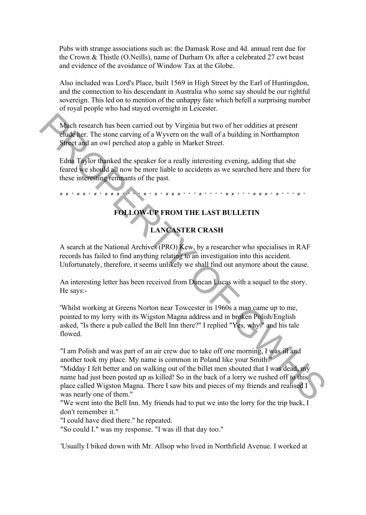Pubs with strange associations such as: the Damask Rose and 4d. annual rent due for the Crown & Thistle (O.Neills), name of Durham Ox after a celebrated 27 cwt beast and evidence of the avoidance of Window Tax at the Globe.

Also included was Lord's Place, built 1569 in High Street by the Earl of Huntingdon, and the connection to his descendant in Australia who some say should be our rightful sovereign. This led on to mention of the unhappy fate which befell a surprising number of royal people who had stayed overnight in Leicester.

Much research has been carried out by Virginia but two of her oddities at present elude her. The stone carving of a Wyvern on the wall of a building in Northampton Street and an owl perched atop a gable in Market Street.

Edna Taylor thanked the speaker for a really interesting evening, adding that she feared we should all now be more liable to accidents as we searched here and there for these interesting remnants of the past.

# # \* # # \* # \* # # # \* \* \* \* # \* # \* # # # \* \* \* # \* \* \* \* # # \* \* \* # # # \* # \* \* \* # \*

# **FOLLOW-UP FROM THE LAST BULLETIN**

# **LANCASTER CRASH**

A search at the National Archives (PRO) Kew, by a researcher who specialises in RAF records has failed to find anything relating to an investigation into this accident. Unfortunately, therefore, it seems unlikely we shall find out anymore about the cause.

An interesting letter has been received from Duncan Lucas with a sequel to the story. He says:-

'Whilst working at Greens Norton near Towcester in 1960s a man came up to me, pointed to my lorry with its Wigston Magna address and in broken Polish/English asked, "Is there a pub called the Bell Inn there?" I replied "Yes, why." and his tale flowed.

"I am Polish and was part of an air crew due to take off one morning, I was ill and another took my place. My name is common in Poland like your Smith." "Midday I felt better and on walking out of the billet men shouted that I was dead, my name had just been posted up as killed! So in the back of a lorry we rushed off to this place called Wigston Magna. There I saw bits and pieces of my friends and realised I was nearly one of them." Much research has been carried out by Virginia but two of her oddities at present<br>
elude her. The stone carving of a Wyvern on the wall of a building in Northampton<br>
Sirect and an owl perched atop a gable in Market Strett

"We went into the Bell Inn. My friends had to put we into the lorry for the trip back, I don't remember it."

"I could have died there." he repeated.

"So could I." was my response. "I was ill that day too."

'Usually I biked down with Mr. Allsop who lived in Northfield Avenue. I worked at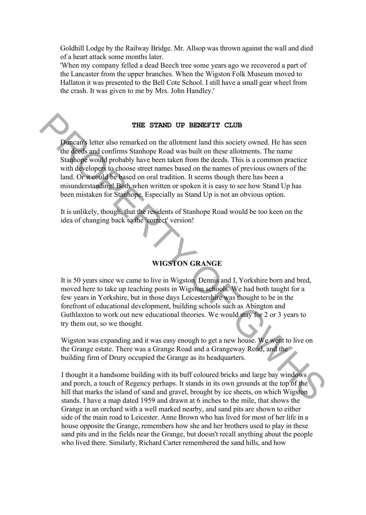Goldhill Lodge by the Railway Bridge. Mr. Allsop was thrown against the wall and died of a heart attack some months later.

'When my company felled a dead Beech tree some years ago we recovered a part of the Lancaster from the upper branches. When the Wigston Folk Museum moved to Hallaton it was presented to the Bell Cote School. I still have a small gear wheel from the crash. It was given to me by Mrs. John Handley.'

#### **THE STAND UP BENEFIT CLUB**

Duncan's letter also remarked on the allotment land this society owned. He has seen the deeds and confirms Stanhope Road was built on these allotments. The name Stanhope would probably have been taken from the deeds. This is a common practice with developers to choose street names based on the names of previous owners of the land. Or it could be based on oral tradition. It seems though there has been a misunderstanding! Both when written or spoken it is easy to see how Stand Up has been mistaken for Stanhope. Especially as Stand Up is not an obvious option. **THE STAND UP ERISEFIT CLUB**<br>
Dimean's letter also remarked on the allotment land this society owned. He has seen<br>
the deeds and confirms Stanhope Road was built on these allotments. The name<br>
Stanhope Woold probably have

It is unlikely, though, that the residents of Stanhope Road would be too keen on the idea of changing back to the 'correct' version!

# **WIGSTON GRANGE**

It is 50 years since we came to live in Wigston. Dennis and I, Yorkshire born and bred, moved here to take up teaching posts in Wigston schools. We had both taught for a few years in Yorkshire, but in those days Leicestershire was thought to be in the forefront of educational development, building schools such as Abington and Guthlaxton to work out new educational theories. We would stay for 2 or 3 years to try them out, so we thought.

Wigston was expanding and it was easy enough to get a new house. We went to live on the Grange estate. There was a Grange Road and a Grangeway Road, and the building firm of Drury occupied the Grange as its headquarters.

I thought it a handsome building with its buff coloured bricks and large bay windows and porch, a touch of Regency perhaps. It stands in its own grounds at the top of the hill that marks the island of sand and gravel, brought by ice sheets, on which Wigston stands. I have a map dated 1959 and drawn at 6 inches to the mile, that shows the Grange in an orchard with a well marked nearby, and sand pits are shown to either side of the main road to Leicester. Anne Brown who has lived for most of her life in a house opposite the Grange, remembers how she and her brothers used to play in these sand pits and in the fields near the Grange, but doesn't recall anything about the people who lived there. Similarly, Richard Carter remembered the sand hills, and how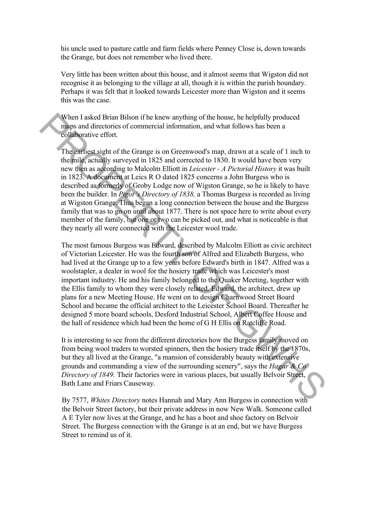his uncle used to pasture cattle and farm fields where Penney Close is, down towards the Grange, but does not remember who lived there.

Very little has been written about this house, and it almost seems that Wigston did not recognise it as belonging to the village at all, though it is within the parish boundary. Perhaps it was felt that it looked towards Leicester more than Wigston and it seems this was the case.

When I asked Brian Bilson if he knew anything of the house, he helpfully produced maps and directories of commercial information, and what follows has been a collaborative effort.

The earliest sight of the Grange is on Greenwood's map, drawn at a scale of 1 inch to the mile, actually surveyed in 1825 and corrected to 1830. It would have been very new then as according to Malcolm Elliott in *Leicester - A Pictorial History* it was built in 1823. A document at Leics R O dated 1825 concerns a John Burgess who is described as formerly of Groby Lodge now of Wigston Grange, so he is likely to have been the builder. In *Pigot 's Directory of 1838,* a Thomas Burgess is recorded as living at Wigston Grange. Thus began a long connection between the house and the Burgess family that was to go on until about 1877. There is not space here to write about every member of the family, but one or two can be picked out, and what is noticeable is that they nearly all were connected with the Leicester wool trade.

The most famous Burgess was Edward, described by Malcolm Elliott as civic architect of Victorian Leicester. He was the fourth son of Alfred and Elizabeth Burgess, who had lived at the Grange up to a few years before Edward's birth in 1847. Alfred was a woolstapler, a dealer in wool for the hosiery trade which was Leicester's most important industry. He and his family belonged to the Quaker Meeting, together with the Ellis family to whom they were closely related. Edward, the architect, drew up plans for a new Meeting House. He went on to design Charnwood Street Board School and became the official architect to the Leicester School Board. Thereafter he designed 5 more board schools, Desford Industrial School, Albert Coffee House and the hall of residence which had been the home of G H Ellis on Ratcliffe Road. When lasked Brian Bilson if the knew anything of the house, he helpfully produced<br>
maps und directories of commercial information, and what follows has been a<br>
collaborative effort.<br>
The earliest sight of the Grange is on

It is interesting to see from the different directories how the Burgess family moved on from being wool traders to worsted spinners, then the hosiery trade itself by the 1870s, but they all lived at the Grange, "a mansion of considerably beauty with extensive grounds and commanding a view of the surrounding scenery", says the *Hagar & Co Directory of 1849.* Their factories were in various places, but usually Belvoir Street, Bath Lane and Friars Causeway.

By 7577, *Whites Directory* notes Hannah and Mary Ann Burgess in connection with the Belvoir Street factory, but their private address in now New Walk. Someone called A E Tyler now lives at the Grange, and he has a boot and shoe factory on Belvoir Street. The Burgess connection with the Grange is at an end, but we have Burgess Street to remind us of it.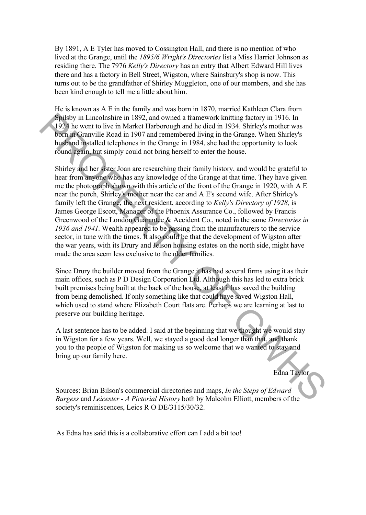By 1891, A E Tyler has moved to Cossington Hall, and there is no mention of who lived at the Grange, until the *1895/6 Wright's Directories* list a Miss Harriet Johnson as residing there. The 7976 *Kelly's Directory* has an entry that Albert Edward Hill lives there and has a factory in Bell Street, Wigston, where Sainsbury's shop is now. This turns out to be the grandfather of Shirley Muggleton, one of our members, and she has been kind enough to tell me a little about him.

He is known as A E in the family and was born in 1870, married Kathleen Clara from Spilsby in Lincolnshire in 1892, and owned a framework knitting factory in 1916. In 1924 he went to live in Market Harborough and he died in 1934. Shirley's mother was born in Granville Road in 1907 and remembered living in the Grange. When Shirley's husband installed telephones in the Grange in 1984, she had the opportunity to look round again, but simply could not bring herself to enter the house.

Shirley and her sister Joan are researching their family history, and would be grateful to hear from anyone who has any knowledge of the Grange at that time. They have given me the photograph shown with this article of the front of the Grange in 1920, with A E near the porch, Shirley's mother near the car and A E's second wife. After Shirley's family left the Grange, the next resident, according to *Kelly's Directory of 1928,* is James George Escott, Manager of the Phoenix Assurance Co., followed by Francis Greenwood of the London Guarantee & Accident Co., noted in the same *Directories in 1936 and 1941.* Wealth appeared to be passing from the manufacturers to the service sector, in tune with the times. It also could be that the development of Wigston after the war years, with its Drury and Jelson housing estates on the north side, might have made the area seem less exclusive to the older families. **Shite** by Lincolnshire in 1892, and owned a framework knitting factory in 1916. In<br>1924 by went to live in Market Harborough and he died in 1934. Shirley's molet was<br>bein in Granville Road in 1907 and remembered living i

Since Drury the builder moved from the Grange it has had several firms using it as their main offices, such as P D Design Corporation Ltd. Although this has led to extra brick built premises being built at the back of the house, at least it has saved the building from being demolished. If only something like that could have saved Wigston Hall, which used to stand where Elizabeth Court flats are. Perhaps we are learning at last to preserve our building heritage.

A last sentence has to be added. I said at the beginning that we thought we would stay in Wigston for a few years. Well, we stayed a good deal longer than that, and thank you to the people of Wigston for making us so welcome that we wanted to stay and bring up our family here.

Edna Taylor

Sources: Brian Bilson's commercial directories and maps, *In the Steps of Edward Burgess* and *Leicester - A Pictorial History* both by Malcolm Elliott, members of the society's reminiscences, Leics R O DE/3115/30/32.

As Edna has said this is a collaborative effort can I add a bit too!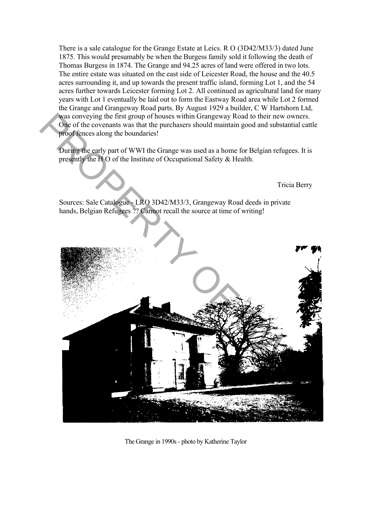There is a sale catalogue for the Grange Estate at Leics. R O (3D42/M33/3) dated June 1875. This would presumably be when the Burgess family sold it following the death of Thomas Burgess in 1874. The Grange and 94.25 acres of land were offered in two lots. The entire estate was situated on the east side of Leicester Road, the house and the 40.5 acres surrounding it, and up towards the present traffic island, forming Lot 1, and the 54 acres further towards Leicester forming Lot 2. All continued as agricultural land for many years with Lot 1 eventually be laid out to form the Eastway Road area while Lot 2 formed the Grange and Grangeway Road parts. By August 1929 a builder, C W Hartshorn Ltd, was conveying the first group of houses within Grangeway Road to their new owners. One of the covenants was that the purchasers should maintain good and substantial cattle proof fences along the boundaries!

During the early part of WWI the Grange was used as a home for Belgian refugees. It is presently the H O of the Institute of Occupational Safety & Health.

Tricia Berry

Sources: Sale Catalogue - LRO 3D42/M33/3, Grangeway Road deeds in private hands, Belgian Refugees ?? Cannot recall the source at time of writing!



The Grange in 1990s - photo by Katherine Taylor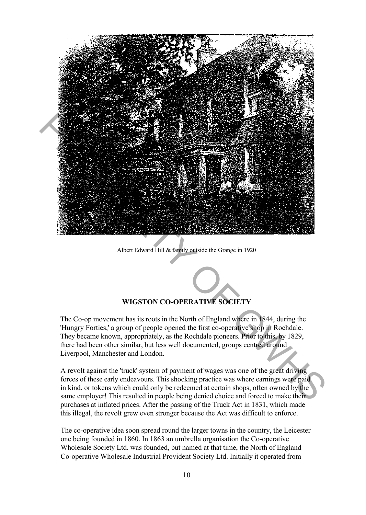

Albert Edward Hill & family outside the Grange in 1920

# **WIGSTON CO-OPERATIVE SOCIETY**

The Co-op movement has its roots in the North of England where in 1844, during the 'Hungry Forties,' a group of people opened the first co-operative shop in Rochdale. They became known, appropriately, as the Rochdale pioneers. Prior to this, by 1829, there had been other similar, but less well documented, groups centred around Liverpool, Manchester and London.

A revolt against the 'truck' system of payment of wages was one of the great driving forces of these early endeavours. This shocking practice was where earnings were paid in kind, or tokens which could only be redeemed at certain shops, often owned by the same employer! This resulted in people being denied choice and forced to make their purchases at inflated prices. After the passing of the Truck Act in 1831, which made this illegal, the revolt grew even stronger because the Act was difficult to enforce.

The co-operative idea soon spread round the larger towns in the country, the Leicester one being founded in 1860. In 1863 an umbrella organisation the Co-operative Wholesale Society Ltd. was founded, but named at that time, the North of England Co-operative Wholesale Industrial Provident Society Ltd. Initially it operated from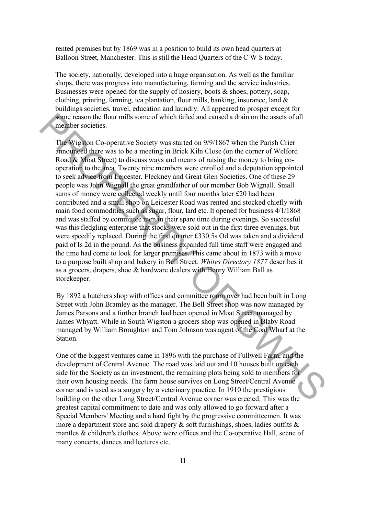rented premises but by 1869 was in a position to build its own head quarters at Balloon Street, Manchester. This is still the Head Quarters of the C W S today.

The society, nationally, developed into a huge organisation. As well as the familiar shops, there was progress into manufacturing, farming and the service industries. Businesses were opened for the supply of hosiery, boots  $\&$  shoes, pottery, soap, clothing, printing, farming, tea plantation, flour mills, banking, insurance, land & buildings societies, travel, education and laundry. All appeared to prosper except for some reason the flour mills some of which failed and caused a drain on the assets of all member societies.

The Wigston Co-operative Society was started on 9/9/1867 when the Parish Crier announced there was to be a meeting in Brick Kiln Close (on the corner of Welford Road & Moat Street) to discuss ways and means of raising the money to bring cooperation to the area. Twenty nine members were enrolled and a deputation appointed to seek advice from Leicester, Fleckney and Great Glen Societies. One of these 29 people was John Wignall the great grandfather of our member Bob Wignall. Small sums of money were collected weekly until four months later £20 had been contributed and a small shop on Leicester Road was rented and stocked chiefly with main food commodities such as sugar, flour, lard etc. It opened for business 4/1/1868 and was staffed by committee men in their spare time during evenings. So successful was this fledgling enterprise that stocks were sold out in the first three evenings, but were speedily replaced. During the first quarter £330 5s Od was taken and a dividend paid of Is 2d in the pound. As the business expanded full time staff were engaged and the time had come to look for larger premises. This came about in 1873 with a move to a purpose built shop and bakery in Bell Street. *Whites Directory 1877* describes it as a grocers, drapers, shoe & hardware dealers with Henry William Ball as storekeeper. some resources to the flour and cased a drain on the assets of all<br>smelther societies.<br>The Wigslon Co-operative Society was started on 9971867 when the Parish Crier<br>amounted there was to be a meeting in Brick Kiln Close (

By 1892 a butchers shop with offices and committee room over had been built in Long Street with John Bramley as the manager. The Bell Street shop was now managed by James Parsons and a further branch had been opened in Moat Street, managed by James Whyatt. While in South Wigston a grocers shop was opened in Blaby Road managed by William Broughton and Tom Johnson was agent of the Coal Wharf at the Station.

One of the biggest ventures came in 1896 with the purchase of Fullwell Farm, and the development of Central Avenue. The road was laid out and 10 houses built on each side for the Society as an investment, the remaining plots being sold to members for their own housing needs. The farm house survives on Long Street/Central Avenue corner and is used as a surgery by a veterinary practice. In 1910 the prestigious building on the other Long Street/Central Avenue corner was erected. This was the greatest capital commitment to date and was only allowed to go forward after a Special Members' Meeting and a hard fight by the progressive committeemen. It was more a department store and sold drapery  $\&$  soft furnishings, shoes, ladies outfits  $\&$ mantles & children's clothes. Above were offices and the Co-operative Hall, scene of many concerts, dances and lectures etc.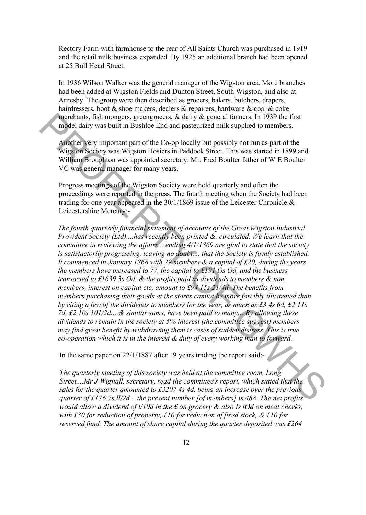Rectory Farm with farmhouse to the rear of All Saints Church was purchased in 1919 and the retail milk business expanded. By 1925 an additional branch had been opened at 25 Bull Head Street.

In 1936 Wilson Walker was the general manager of the Wigston area. More branches had been added at Wigston Fields and Dunton Street, South Wigston, and also at Arnesby. The group were then described as grocers, bakers, butchers, drapers, hairdressers, boot & shoe makers, dealers & repairers, hardware & coal & coke merchants, fish mongers, greengrocers, & dairy & general fanners. In 1939 the first model dairy was built in Bushloe End and pasteurized milk supplied to members.

Another very important part of the Co-op locally but possibly not run as part of the Wigston Society was Wigston Hosiers in Paddock Street. This was started in 1899 and William Broughton was appointed secretary. Mr. Fred Boulter father of W E Boulter VC was general manager for many years.

Progress meetings of the Wigston Society were held quarterly and often the proceedings were reported in the press. The fourth meeting when the Society had been trading for one year appeared in the 30/1/1869 issue of the Leicester Chronicle & Leicestershire Mercury:-

*The fourth quarterly financial statement of accounts of the Great Wigston Industrial Provident Society (Ltd)....has recently been printed &. circulated. We learn that the committee in reviewing the affairs....ending 4/1/1869 are glad to state that the society is satisfactorily progressing, leaving no doubt.... that the Society is firmly established. It commenced in January 1868 with 29 members & a capital of Ä20, during the years the members have increased to 77, the capital to Ä191 Os Od, and the business transacted to Ä1639 3s Od. & the profits paid as dividends to members & non members, interest on capital etc, amount to £94 15s 21/4d. The benefits from members purchasing their goods at the stores cannot be more forcibly illustrated than by citing a few of the dividends to members for the year, as much as Ä3 4s 6d, Ä2 11s 7d, Ä2 10s 101/2d....& similar sums, have been paid to many....By allowing these dividends to remain in the society at 5% interest (the committee suggest) members may find great benefit by withdrawing them is cases of sudden distress. This is true co-operation which it is in the interest & duty of every working man to forward.* model dairy was built in Busible End and pasteurized infilmers. In 1939 the irreduction<br>
model dairy was built in Busible End and pasteurized in the supplied to members.<br>
Another serv important part of the Co-to locally b

In the same paper on 22/1/1887 after 19 years trading the report said:-

*The quarterly meeting of this society was held at the committee room, Long Street....Mr J Wignall, secretary, read the committee's report, which stated that the sales for the quarter amounted to Ä3207 4s 4d, being an increase over the previous quarter of Ä176 7s ll/2d....the present number [of members] is 488. The net profits would allow a dividend of l/10d in the Ä on grocery & also Is lOd on meat checks, with Ä30 for reduction of property, Ä10 for reduction of fixed stock, & Ä10 for reserved fund. The amount of share capital during the quarter deposited was Ä264*